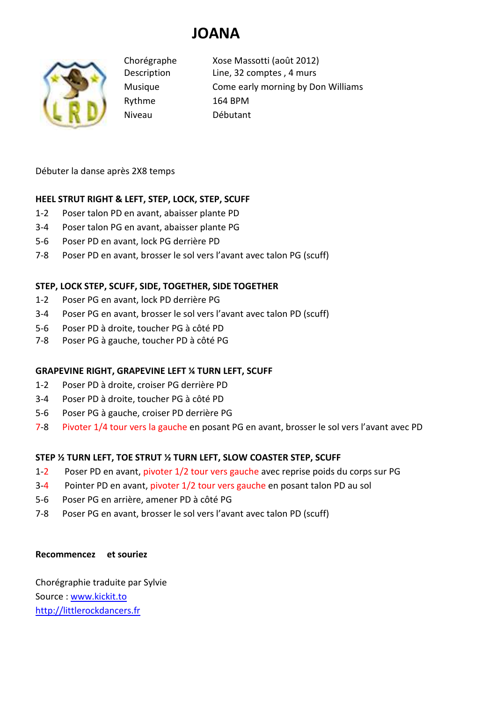# **JOANA**



Rythme 164 BPM

Chorégraphe Xose Massotti (août 2012) Description Line, 32 comptes , 4 murs Musique Come early morning by Don Williams Niveau Débutant

Débuter la danse après 2X8 temps

## **HEEL STRUT RIGHT & LEFT, STEP, LOCK, STEP, SCUFF**

- 1-2 Poser talon PD en avant, abaisser plante PD
- 3-4 Poser talon PG en avant, abaisser plante PG
- 5-6 Poser PD en avant, lock PG derrière PD
- 7-8 Poser PD en avant, brosser le sol vers l'avant avec talon PG (scuff)

## **STEP, LOCK STEP, SCUFF, SIDE, TOGETHER, SIDE TOGETHER**

- 1-2 Poser PG en avant, lock PD derrière PG
- 3-4 Poser PG en avant, brosser le sol vers l'avant avec talon PD (scuff)
- 5-6 Poser PD à droite, toucher PG à côté PD
- 7-8 Poser PG à gauche, toucher PD à côté PG

## **GRAPEVINE RIGHT, GRAPEVINE LEFT ¼ TURN LEFT, SCUFF**

- 1-2 Poser PD à droite, croiser PG derrière PD
- 3-4 Poser PD à droite, toucher PG à côté PD
- 5-6 Poser PG à gauche, croiser PD derrière PG
- 7-8 Pivoter 1/4 tour vers la gauche en posant PG en avant, brosser le sol vers l'avant avec PD

## **STEP ½ TURN LEFT, TOE STRUT ½ TURN LEFT, SLOW COASTER STEP, SCUFF**

- 1-2 Poser PD en avant, pivoter 1/2 tour vers gauche avec reprise poids du corps sur PG
- 3-4 Pointer PD en avant, pivoter 1/2 tour vers gauche en posant talon PD au sol
- 5-6 Poser PG en arrière, amener PD à côté PG
- 7-8 Poser PG en avant, brosser le sol vers l'avant avec talon PD (scuff)

### **Recommencez et souriez**

Chorégraphie traduite par Sylvie Source : www.kickit.to http://littlerockdancers.fr